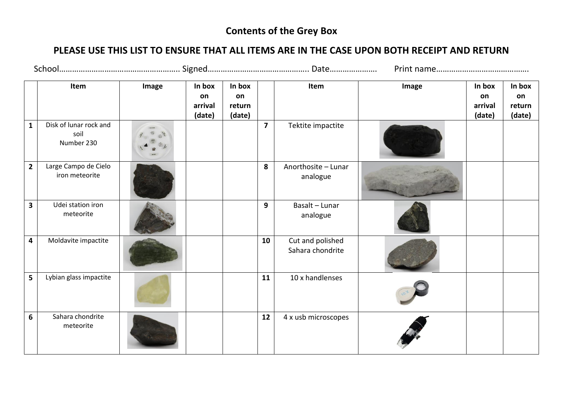## **Contents of the Grey Box**

## **PLEASE USE THIS LIST TO ENSURE THAT ALL ITEMS ARE IN THE CASE UPON BOTH RECEIPT AND RETURN**

|                         | Item                                         | Image | In box<br>on<br>arrival<br>(date) | In box<br>on<br>return<br>(date) |                         | Item                                 | Image | In box<br>on<br>arrival<br>(date) | In box<br>on<br>return<br>(date) |
|-------------------------|----------------------------------------------|-------|-----------------------------------|----------------------------------|-------------------------|--------------------------------------|-------|-----------------------------------|----------------------------------|
| $\mathbf{1}$            | Disk of lunar rock and<br>soil<br>Number 230 |       |                                   |                                  | $\overline{\mathbf{z}}$ | Tektite impactite                    |       |                                   |                                  |
| $\overline{2}$          | Large Campo de Cielo<br>iron meteorite       |       |                                   |                                  | 8                       | Anorthosite - Lunar<br>analogue      |       |                                   |                                  |
| $\overline{\mathbf{3}}$ | Udei station iron<br>meteorite               |       |                                   |                                  | 9                       | Basalt - Lunar<br>analogue           |       |                                   |                                  |
| $\overline{\mathbf{4}}$ | Moldavite impactite                          |       |                                   |                                  | 10                      | Cut and polished<br>Sahara chondrite |       |                                   |                                  |
| 5 <sup>1</sup>          | Lybian glass impactite                       |       |                                   |                                  | 11                      | 10 x handlenses                      |       |                                   |                                  |
| 6                       | Sahara chondrite<br>meteorite                |       |                                   |                                  | 12                      | 4 x usb microscopes                  |       |                                   |                                  |